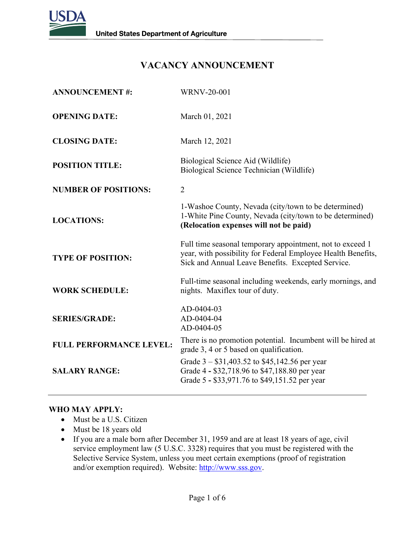

# **VACANCY ANNOUNCEMENT**

| <b>ANNOUNCEMENT#:</b>          | <b>WRNV-20-001</b>                                                                                                                                                             |
|--------------------------------|--------------------------------------------------------------------------------------------------------------------------------------------------------------------------------|
| <b>OPENING DATE:</b>           | March 01, 2021                                                                                                                                                                 |
| <b>CLOSING DATE:</b>           | March 12, 2021                                                                                                                                                                 |
| <b>POSITION TITLE:</b>         | Biological Science Aid (Wildlife)<br>Biological Science Technician (Wildlife)                                                                                                  |
| <b>NUMBER OF POSITIONS:</b>    | $\overline{2}$                                                                                                                                                                 |
| <b>LOCATIONS:</b>              | 1-Washoe County, Nevada (city/town to be determined)<br>1-White Pine County, Nevada (city/town to be determined)<br>(Relocation expenses will not be paid)                     |
| <b>TYPE OF POSITION:</b>       | Full time seasonal temporary appointment, not to exceed 1<br>year, with possibility for Federal Employee Health Benefits,<br>Sick and Annual Leave Benefits. Excepted Service. |
| <b>WORK SCHEDULE:</b>          | Full-time seasonal including weekends, early mornings, and<br>nights. Maxiflex tour of duty.                                                                                   |
| <b>SERIES/GRADE:</b>           | AD-0404-03<br>AD-0404-04<br>AD-0404-05                                                                                                                                         |
| <b>FULL PERFORMANCE LEVEL:</b> | There is no promotion potential. Incumbent will be hired at<br>grade 3, 4 or 5 based on qualification.                                                                         |
| <b>SALARY RANGE:</b>           | Grade $3 - $31,403.52$ to \$45,142.56 per year<br>Grade 4 - \$32,718.96 to \$47,188.80 per year<br>Grade 5 - \$33,971.76 to \$49,151.52 per year                               |

### **WHO MAY APPLY:**

- Must be a U.S. Citizen
- Must be 18 years old
- If you are a male born after December 31, 1959 and are at least 18 years of age, civil service employment law (5 U.S.C. 3328) requires that you must be registered with the Selective Service System, unless you meet certain exemptions (proof of registration and/or exemption required). Website: [http://www.sss.gov.](http://www.sss.gov/)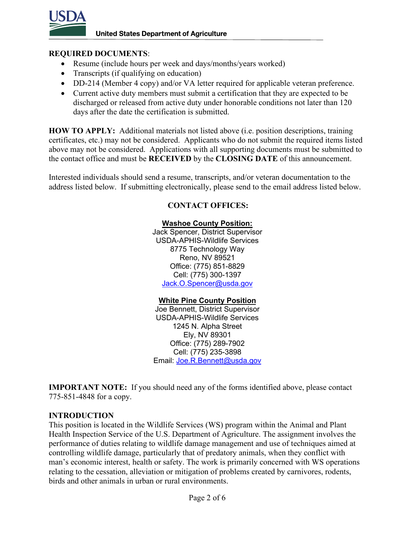

### **REQUIRED DOCUMENTS**:

- Resume (include hours per week and days/months/years worked)
- Transcripts (if qualifying on education)
- DD-214 (Member 4 copy) and/or VA letter required for applicable veteran preference.
- Current active duty members must submit a certification that they are expected to be discharged or released from active duty under honorable conditions not later than 120 days after the date the certification is submitted.

**HOW TO APPLY:** Additional materials not listed above (i.e. position descriptions, training certificates, etc.) may not be considered. Applicants who do not submit the required items listed above may not be considered. Applications with all supporting documents must be submitted to the contact office and must be **RECEIVED** by the **CLOSING DATE** of this announcement.

Interested individuals should send a resume, transcripts, and/or veteran documentation to the address listed below. If submitting electronically, please send to the email address listed below.

## **CONTACT OFFICES:**

#### **Washoe County Position:**

Jack Spencer, District Supervisor USDA-APHIS-Wildlife Services 8775 Technology Way Reno, NV 89521 Office: (775) 851-8829 Cell: (775) 300-1397 [Jack.O.Spencer@usda.gov](mailto:Jack.O.Spencer@usda.gov)

### **White Pine County Position**

Joe Bennett, District Supervisor USDA-APHIS-Wildlife Services 1245 N. Alpha Street Ely, NV 89301 Office: (775) 289-7902 Cell: (775) 235-3898 Email: [Joe.R.Bennett@usda.gov](mailto:Joe.R.Bennett@usda.gov)

**IMPORTANT NOTE:** If you should need any of the forms identified above, please contact 775-851-4848 for a copy.

### **INTRODUCTION**

This position is located in the Wildlife Services (WS) program within the Animal and Plant Health Inspection Service of the U.S. Department of Agriculture. The assignment involves the performance of duties relating to wildlife damage management and use of techniques aimed at controlling wildlife damage, particularly that of predatory animals, when they conflict with man's economic interest, health or safety. The work is primarily concerned with WS operations relating to the cessation, alleviation or mitigation of problems created by carnivores, rodents, birds and other animals in urban or rural environments.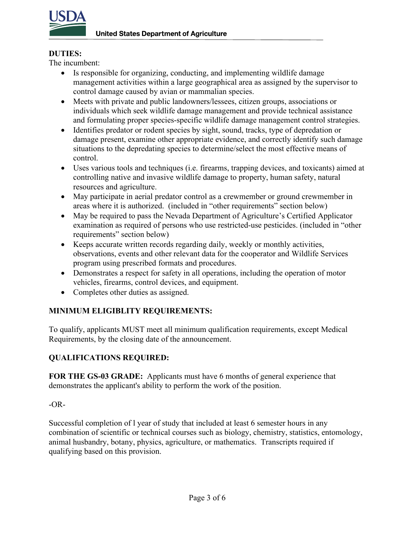

## **DUTIES:**

The incumbent:

- Is responsible for organizing, conducting, and implementing wildlife damage management activities within a large geographical area as assigned by the supervisor to control damage caused by avian or mammalian species.
- Meets with private and public landowners/lessees, citizen groups, associations or individuals which seek wildlife damage management and provide technical assistance and formulating proper species-specific wildlife damage management control strategies.
- Identifies predator or rodent species by sight, sound, tracks, type of depredation or damage present, examine other appropriate evidence, and correctly identify such damage situations to the depredating species to determine/select the most effective means of control.
- Uses various tools and techniques (i.e. firearms, trapping devices, and toxicants) aimed at controlling native and invasive wildlife damage to property, human safety, natural resources and agriculture.
- May participate in aerial predator control as a crewmember or ground crewmember in areas where it is authorized. (included in "other requirements" section below)
- May be required to pass the Nevada Department of Agriculture's Certified Applicator examination as required of persons who use restricted-use pesticides. (included in "other requirements" section below)
- Keeps accurate written records regarding daily, weekly or monthly activities, observations, events and other relevant data for the cooperator and Wildlife Services program using prescribed formats and procedures.
- Demonstrates a respect for safety in all operations, including the operation of motor vehicles, firearms, control devices, and equipment.
- Completes other duties as assigned.

## **MINIMUM ELIGIBLITY REQUIREMENTS:**

To qualify, applicants MUST meet all minimum qualification requirements, except Medical Requirements, by the closing date of the announcement.

## **QUALIFICATIONS REQUIRED:**

**FOR THE GS-03 GRADE:** Applicants must have 6 months of general experience that demonstrates the applicant's ability to perform the work of the position.

## $-OR-$

Successful completion of l year of study that included at least 6 semester hours in any combination of scientific or technical courses such as biology, chemistry, statistics, entomology, animal husbandry, botany, physics, agriculture, or mathematics. Transcripts required if qualifying based on this provision.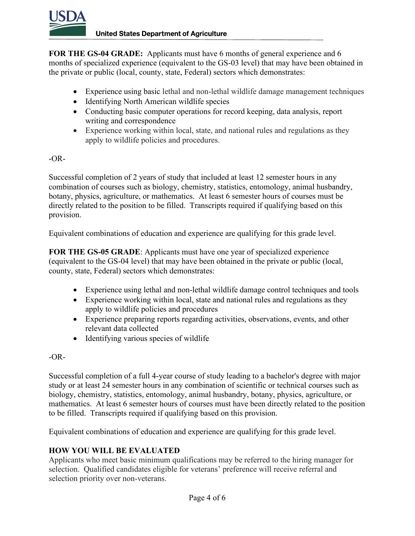

**FOR THE GS-04 GRADE:** Applicants must have 6 months of general experience and 6 months of specialized experience (equivalent to the GS-03 level) that may have been obtained in the private or public (local, county, state, Federal) sectors which demonstrates:

- Experience using basic lethal and non-lethal wildlife damage management techniques
- Identifying North American wildlife species
- Conducting basic computer operations for record keeping, data analysis, report writing and correspondence
- Experience working within local, state, and national rules and regulations as they apply to wildlife policies and procedures.

## -OR-

Successful completion of 2 years of study that included at least 12 semester hours in any combination of courses such as biology, chemistry, statistics, entomology, animal husbandry, botany, physics, agriculture, or mathematics. At least 6 semester hours of courses must be directly related to the position to be filled. Transcripts required if qualifying based on this provision.

Equivalent combinations of education and experience are qualifying for this grade level.

**FOR THE GS-05 GRADE**: Applicants must have one year of specialized experience (equivalent to the GS-04 level) that may have been obtained in the private or public (local, county, state, Federal) sectors which demonstrates:

- Experience using lethal and non-lethal wildlife damage control techniques and tools
- Experience working within local, state and national rules and regulations as they apply to wildlife policies and procedures
- Experience preparing reports regarding activities, observations, events, and other relevant data collected
- Identifying various species of wildlife

## -OR-

Successful completion of a full 4-year course of study leading to a bachelor's degree with major study or at least 24 semester hours in any combination of scientific or technical courses such as biology, chemistry, statistics, entomology, animal husbandry, botany, physics, agriculture, or mathematics. At least 6 semester hours of courses must have been directly related to the position to be filled. Transcripts required if qualifying based on this provision.

Equivalent combinations of education and experience are qualifying for this grade level.

## **HOW YOU WILL BE EVALUATED**

Applicants who meet basic minimum qualifications may be referred to the hiring manager for selection. Qualified candidates eligible for veterans' preference will receive referral and selection priority over non-veterans.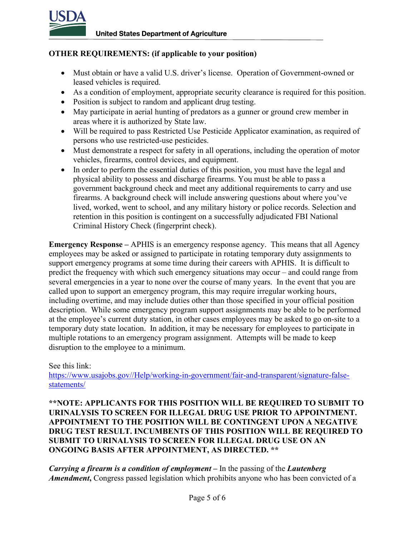

## **OTHER REQUIREMENTS: (if applicable to your position)**

- Must obtain or have a valid U.S. driver's license. Operation of Government-owned or leased vehicles is required.
- As a condition of employment, appropriate security clearance is required for this position.
- Position is subject to random and applicant drug testing.
- May participate in aerial hunting of predators as a gunner or ground crew member in areas where it is authorized by State law.
- Will be required to pass Restricted Use Pesticide Applicator examination, as required of persons who use restricted-use pesticides.
- Must demonstrate a respect for safety in all operations, including the operation of motor vehicles, firearms, control devices, and equipment.
- In order to perform the essential duties of this position, you must have the legal and physical ability to possess and discharge firearms. You must be able to pass a government background check and meet any additional requirements to carry and use firearms. A background check will include answering questions about where you've lived, worked, went to school, and any military history or police records. Selection and retention in this position is contingent on a successfully adjudicated FBI National Criminal History Check (fingerprint check).

**Emergency Response –** APHIS is an emergency response agency. This means that all Agency employees may be asked or assigned to participate in rotating temporary duty assignments to support emergency programs at some time during their careers with APHIS. It is difficult to predict the frequency with which such emergency situations may occur – and could range from several emergencies in a year to none over the course of many years. In the event that you are called upon to support an emergency program, this may require irregular working hours, including overtime, and may include duties other than those specified in your official position description. While some emergency program support assignments may be able to be performed at the employee's current duty station, in other cases employees may be asked to go on-site to a temporary duty state location. In addition, it may be necessary for employees to participate in multiple rotations to an emergency program assignment. Attempts will be made to keep disruption to the employee to a minimum.

### See this link:

[https://www.usajobs.gov//Help/working-in-government/fair-and-transparent/signature-false](https://www.usajobs.gov/Help/working-in-government/fair-and-transparent/signature-false-statements/)[statements/](https://www.usajobs.gov/Help/working-in-government/fair-and-transparent/signature-false-statements/)

**\*\*NOTE: APPLICANTS FOR THIS POSITION WILL BE REQUIRED TO SUBMIT TO URINALYSIS TO SCREEN FOR ILLEGAL DRUG USE PRIOR TO APPOINTMENT. APPOINTMENT TO THE POSITION WILL BE CONTINGENT UPON A NEGATIVE DRUG TEST RESULT. INCUMBENTS OF THIS POSITION WILL BE REQUIRED TO SUBMIT TO URINALYSIS TO SCREEN FOR ILLEGAL DRUG USE ON AN ONGOING BASIS AFTER APPOINTMENT, AS DIRECTED. \*\***

*Carrying a firearm is a condition of employment* **–** In the passing of the *Lautenberg*  Amendment, Congress passed legislation which prohibits anyone who has been convicted of a